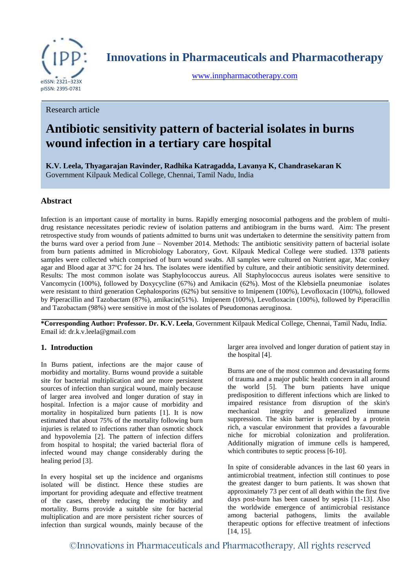

**Innovations in Pharmaceuticals and Pharmacotherapy**

[www.innpharmacotherapy.com](http://www.innpharmacotherapy.com/)

Research article

# **Antibiotic sensitivity pattern of bacterial isolates in burns wound infection in a tertiary care hospital**

**K.V. Leela, Thyagarajan Ravinder, Radhika Katragadda, Lavanya K, Chandrasekaran K**  Government Kilpauk Medical College, Chennai, Tamil Nadu, India

# **Abstract**

Infection is an important cause of mortality in burns. Rapidly emerging nosocomial pathogens and the problem of multidrug resistance necessitates periodic review of isolation patterns and antibiogram in the burns ward. Aim: The present retrospective study from wounds of patients admitted to burns unit was undertaken to determine the sensitivity pattern from the burns ward over a period from June – November 2014. Methods: The antibiotic sensitivity pattern of bacterial isolate from burn patients admitted in Microbiology Laboratory, Govt. Kilpauk Medical College were studied. 1378 patients samples were collected which comprised of burn wound swabs. All samples were cultured on Nutrient agar, Mac conkey agar and Blood agar at 37ºC for 24 hrs. The isolates were identified by culture, and their antibiotic sensitivity determined. Results: The most common isolate was Staphylococcus aureus. All Staphylococcus aureus isolates were sensitive to Vancomycin (100%), followed by Doxycycline (67%) and Amikacin (62%). Most of the Klebsiella pneumoniae isolates were resistant to third generation Cephalosporins (62%) but sensitive to Imipenem (100%), Levofloxacin (100%), followed by Piperacillin and Tazobactam (87%), amikacin(51%). Imipenem (100%), Levofloxacin (100%), followed by Piperacillin and Tazobactam (98%) were sensitive in most of the isolates of Pseudomonas aeruginosa.

**\*Corresponding Author: Professor. Dr. K.V. Leela**, Government Kilpauk Medical College, Chennai, Tamil Nadu, India. Email id: dr.k.v.leela@gmail.com

#### **1. Introduction**

In Burns patient, infections are the major cause of morbidity and mortality. Burns wound provide a suitable site for bacterial multiplication and are more persistent sources of infection than surgical wound, mainly because of larger area involved and longer duration of stay in hospital. Infection is a major cause of morbidity and mortality in hospitalized burn patients [1]. It is now estimated that about 75% of the mortality following burn injuries is related to infections rather than osmotic shock and hypovolemia [2]. The pattern of infection differs from hospital to hospital; the varied bacterial flora of infected wound may change considerably during the healing period [3].

In every hospital set up the incidence and organisms isolated will be distinct. Hence these studies are important for providing adequate and effective treatment of the cases, thereby reducing the morbidity and mortality. Burns provide a suitable site for bacterial multiplication and are more persistent richer sources of infection than surgical wounds, mainly because of the

larger area involved and longer duration of patient stay in the hospital [4].

Burns are one of the most common and devastating forms of trauma and a major public health concern in all around the world [5]. The burn patients have unique predisposition to different infections which are linked to impaired resistance from disruption of the skin's mechanical integrity and generalized immune suppression. The skin barrier is replaced by a protein rich, a vascular environment that provides a favourable niche for microbial colonization and proliferation. Additionally migration of immune cells is hampered, which contributes to septic process [6-10].

In spite of considerable advances in the last 60 years in antimicrobial treatment, infection still continues to pose the greatest danger to burn patients. It was shown that approximately 73 per cent of all death within the first five days post-burn has been caused by sepsis [11-13]. Also the worldwide emergence of antimicrobial resistance among bacterial pathogens, limits the available therapeutic options for effective treatment of infections [14, 15].

©Innovations in Pharmaceuticals and Pharmacotherapy, All rights reserved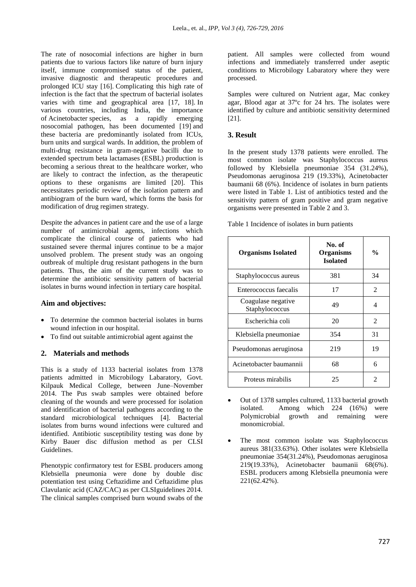The rate of nosocomial infections are higher in burn patients due to various factors like nature of burn injury itself, immune compromised status of the patient, invasive diagnostic and therapeutic procedures and prolonged ICU stay [16]. Complicating this high rate of infection is the fact that the spectrum of bacterial isolates varies with time and geographical area [17, 18]. In various countries, including India, the importance of Acinetobacter species, as a rapidly emerging nosocomial pathogen, has been documented [19] and these bacteria are predominantly isolated from ICUs, burn units and surgical wards. In addition, the problem of multi-drug resistance in gram-negative bacilli due to extended spectrum beta lactamases (ESBL) production is becoming a serious threat to the healthcare worker, who are likely to contract the infection, as the therapeutic options to these organisms are limited [20]. This necessitates periodic review of the isolation pattern and antibiogram of the burn ward, which forms the basis for modification of drug regimen strategy.

Despite the advances in patient care and the use of a large number of antimicrobial agents, infections which complicate the clinical course of patients who had sustained severe thermal injures continue to be a major unsolved problem. The present study was an ongoing outbreak of multiple drug resistant pathogens in the burn patients. Thus, the aim of the current study was to determine the antibiotic sensitivity pattern of bacterial isolates in burns wound infection in tertiary care hospital.

#### **Aim and objectives:**

- To determine the common bacterial isolates in burns wound infection in our hospital.
- To find out suitable antimicrobial agent against the

## **2. Materials and methods**

This is a study of 1133 bacterial isolates from 1378 patients admitted in Microbilogy Labaratory, Govt. Kilpauk Medical College, between June–November 2014. The Pus swab samples were obtained before cleaning of the wounds and were processed for isolation and identification of bacterial pathogens according to the standard microbiological techniques [4]. Bacterial isolates from burns wound infections were cultured and identified. Antibiotic susceptibility testing was done by Kirby Bauer disc diffusion method as per CLSI Guidelines.

Phenotypic confirmatory test for ESBL producers among Klebsiella pneumonia were done by double disc potentiation test using Ceftazidime and Ceftazidime plus Clavulanic acid (CAZ/CAC) as per CLSIguidelines 2014. The clinical samples comprised burn wound swabs of the

patient. All samples were collected from wound infections and immediately transferred under aseptic conditions to Microbilogy Labaratory where they were processed.

Samples were cultured on Nutrient agar, Mac conkey agar, Blood agar at 37ºc for 24 hrs. The isolates were identified by culture and antibiotic sensitivity determined [21].

## **3. Result**

In the present study 1378 patients were enrolled. The most common isolate was Staphylococcus aureus followed by Klebsiella pneumoniae 354 (31.24%), Pseudomonas aeruginosa 219 (19.33%), Acinetobacter baumanii 68 (6%). Incidence of isolates in burn patients were listed in Table 1. List of antibiotics tested and the sensitivity pattern of gram positive and gram negative organisms were presented in Table 2 and 3.

Table 1 Incidence of isolates in burn patients

| <b>Organisms Isolated</b>            | No. of<br><b>Organisms</b><br><b>Isolated</b> | $\frac{0}{0}$               |
|--------------------------------------|-----------------------------------------------|-----------------------------|
| Staphylococcus aureus                | 381                                           | 34                          |
| Enterococcus faecalis                | 17                                            | $\mathfrak{D}$              |
| Coagulase negative<br>Staphylococcus | 49                                            | 4                           |
| Escherichia coli                     | 20                                            | $\mathfrak{D}$              |
| Klebsiella pneumoniae                | 354                                           | 31                          |
| Pseudomonas aeruginosa               | 219                                           | 19                          |
| Acinetobacter baumannii              | 68                                            | 6                           |
| Proteus mirabilis                    | 25                                            | $\mathcal{D}_{\mathcal{A}}$ |

- Out of 1378 samples cultured, 1133 bacterial growth isolated. Among which 224 (16%) were Polymicrobial growth and remaining were monomicrobial.
- The most common isolate was Staphylococcus aureus 381(33.63%). Other isolates were Klebsiella pneumoniae 354(31.24%), Pseudomonas aeruginosa 219(19.33%), Acinetobacter baumanii 68(6%). ESBL producers among Klebsiella pneumonia were 221(62.42%).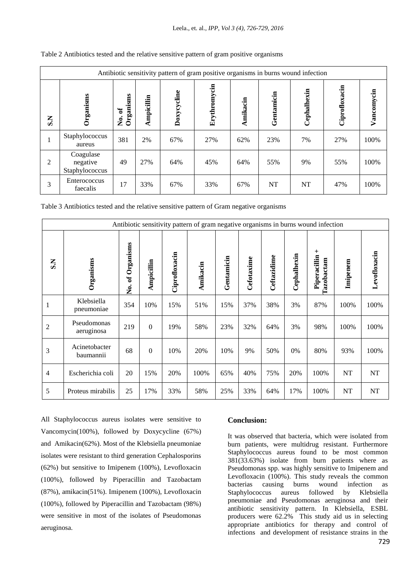| Antibiotic sensitivity pattern of gram positive organisms in burns wound infection |                                         |                     |            |             |              |          |            |             |               |            |
|------------------------------------------------------------------------------------|-----------------------------------------|---------------------|------------|-------------|--------------|----------|------------|-------------|---------------|------------|
| $\overline{\mathbf{S}}$                                                            | Organisms                               | No. of<br>Organisms | Ampicillin | Doxycycline | Erythromycin | Amikacin | Gentamicin | Cephalhexin | Ciprofloxacin | Vancomycin |
|                                                                                    | Staphylococcus<br>aureus                | 381                 | 2%         | 67%         | 27%          | 62%      | 23%        | 7%          | 27%           | 100%       |
| 2                                                                                  | Coagulase<br>negative<br>Staphylococcus | 49                  | 27%        | 64%         | 45%          | 64%      | 55%        | 9%          | 55%           | 100%       |
| 3                                                                                  | Enterococcus<br>faecalis                | 17                  | 33%        | 67%         | 33%          | 67%      | NT         | NT          | 47%           | 100%       |

Table 2 Antibiotics tested and the relative sensitive pattern of gram positive organisms

Table 3 Antibiotics tested and the relative sensitive pattern of Gram negative organisms

| Antibiotic sensitivity pattern of gram negative organisms in burns wound infection |                            |                          |                  |               |          |            |            |             |             |                                     |          |              |
|------------------------------------------------------------------------------------|----------------------------|--------------------------|------------------|---------------|----------|------------|------------|-------------|-------------|-------------------------------------|----------|--------------|
| $S_{i}$                                                                            | Organisms                  | Organisms<br>ð<br>,<br>Ž | Ampicillin       | Ciprofloxacin | Amikacin | Gentamicin | Cefotaxime | Ceftazidime | Cephalhexin | $\pm$<br>Piperacillin<br>Tazobactam | Imipenem | Levofloxacin |
| 1                                                                                  | Klebsiella<br>pneumoniae   | 354                      | 10%              | 15%           | 51%      | 15%        | 37%        | 38%         | 3%          | 87%                                 | 100%     | 100%         |
| $\overline{c}$                                                                     | Pseudomonas<br>aeruginosa  | 219                      | $\mathbf{0}$     | 19%           | 58%      | 23%        | 32%        | 64%         | 3%          | 98%                                 | 100%     | 100%         |
| 3                                                                                  | Acinetobacter<br>baumannii | 68                       | $\boldsymbol{0}$ | 10%           | 20%      | 10%        | 9%         | 50%         | 0%          | 80%                                 | 93%      | 100%         |
| $\overline{4}$                                                                     | Escherichia coli           | 20                       | 15%              | 20%           | 100%     | 65%        | 40%        | 75%         | 20%         | 100%                                | $\bf NT$ | <b>NT</b>    |
| 5                                                                                  | Proteus mirabilis          | 25                       | 17%              | 33%           | 58%      | 25%        | 33%        | 64%         | 17%         | 100%                                | NT       | NT           |

All Staphylococcus aureus isolates were sensitive to Vancomycin(100%), followed by Doxycycline (67%) and Amikacin(62%). Most of the Klebsiella pneumoniae isolates were resistant to third generation Cephalosporins (62%) but sensitive to Imipenem (100%), Levofloxacin (100%), followed by Piperacillin and Tazobactam (87%), amikacin(51%). Imipenem (100%), Levofloxacin (100%), followed by Piperacillin and Tazobactam (98%) were sensitive in most of the isolates of Pseudomonas aeruginosa.

## **Conclusion:**

It was observed that bacteria, which were isolated from burn patients, were multidrug resistant. Furthermore Staphylococcus aureus found to be most common 381(33.63%) isolate from burn patients where as Pseudomonas spp. was highly sensitive to Imipenem and Levofloxacin (100%). This study reveals the common bacterias causing burns wound infection as Staphylococcus aureus followed by Klebsiella pneumoniae and Pseudomonas aeruginosa and their antibiotic sensitivity pattern. In Klebsiella, ESBL producers were 62.2% This study aid us in selecting appropriate antibiotics for therapy and control of infections and development of resistance strains in the